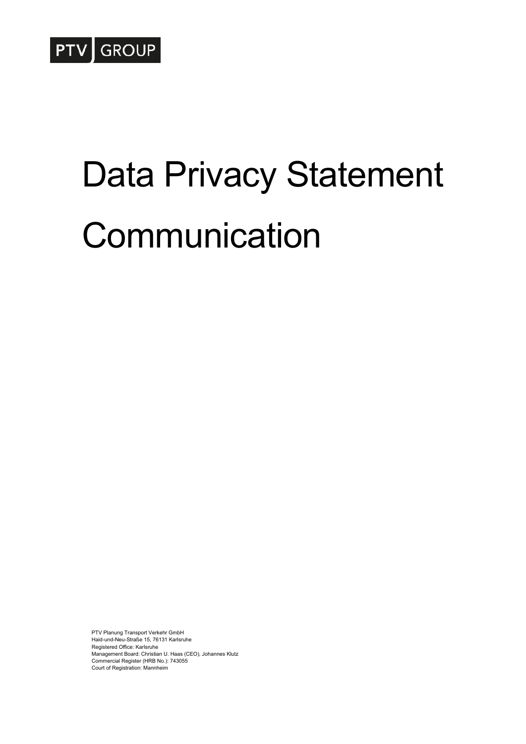

# Data Privacy Statement Communication

PTV Planung Transport Verkehr GmbH Haid-und-Neu-Straße 15, 76131 Karlsruhe Registered Office: Karlsruhe Management Board: Christian U. Haas (CEO), Johannes Klutz Commercial Register (HRB No.): 743055 Court of Registration: Mannheim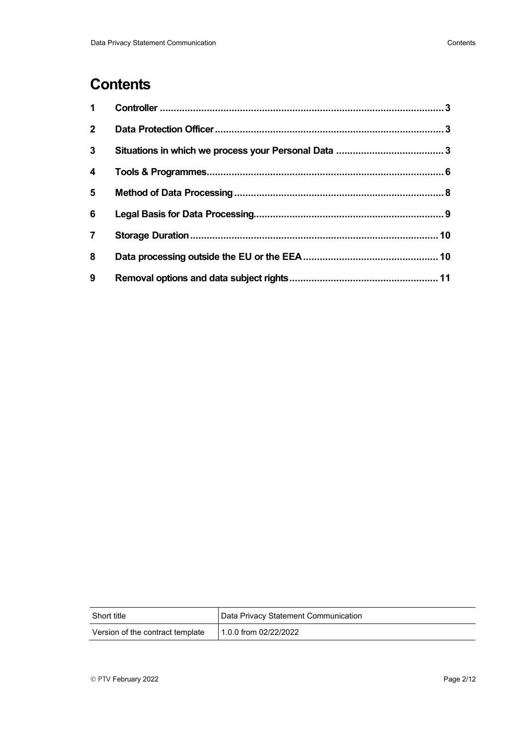# **Contents**

| $\mathbf 1$             |  |
|-------------------------|--|
| 2 <sup>7</sup>          |  |
| $\mathbf{3}$            |  |
| $\overline{\mathbf{4}}$ |  |
| 5                       |  |
| 6                       |  |
| $\overline{7}$          |  |
| 8                       |  |
| 9                       |  |

| Short title                      | Data Privacy Statement Communication |
|----------------------------------|--------------------------------------|
| Version of the contract template | 1.0.0 from 02/22/2022                |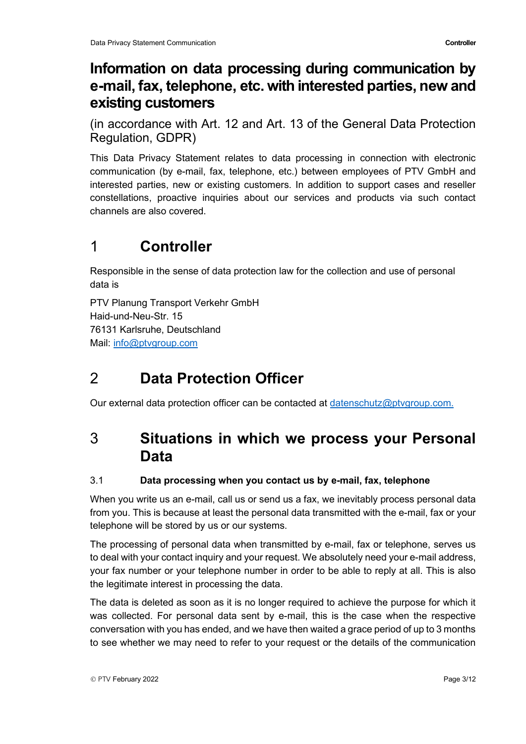# **Information on data processing during communication by e-mail, fax, telephone, etc. with interested parties, new and existing customers**

(in accordance with Art. 12 and Art. 13 of the General Data Protection Regulation, GDPR)

This Data Privacy Statement relates to data processing in connection with electronic communication (by e-mail, fax, telephone, etc.) between employees of PTV GmbH and interested parties, new or existing customers. In addition to support cases and reseller constellations, proactive inquiries about our services and products via such contact channels are also covered.

# <span id="page-2-0"></span>1 **Controller**

Responsible in the sense of data protection law for the collection and use of personal data is

PTV Planung Transport Verkehr GmbH Haid-und-Neu-Str. 15 76131 Karlsruhe, Deutschland Mail: [info@ptvgroup.com](mailto:info@ptvgroup.com)

# <span id="page-2-1"></span>2 **Data Protection Officer**

<span id="page-2-2"></span>Our external data protection officer can be contacted at [datenschutz@ptvgroup.com.](mailto:datenschutz@ptvgroup.com)

# 3 **Situations in which we process your Personal Data**

## 3.1 **Data processing when you contact us by e-mail, fax, telephone**

When you write us an e-mail, call us or send us a fax, we inevitably process personal data from you. This is because at least the personal data transmitted with the e-mail, fax or your telephone will be stored by us or our systems.

The processing of personal data when transmitted by e-mail, fax or telephone, serves us to deal with your contact inquiry and your request. We absolutely need your e-mail address, your fax number or your telephone number in order to be able to reply at all. This is also the legitimate interest in processing the data.

The data is deleted as soon as it is no longer required to achieve the purpose for which it was collected. For personal data sent by e-mail, this is the case when the respective conversation with you has ended, and we have then waited a grace period of up to 3 months to see whether we may need to refer to your request or the details of the communication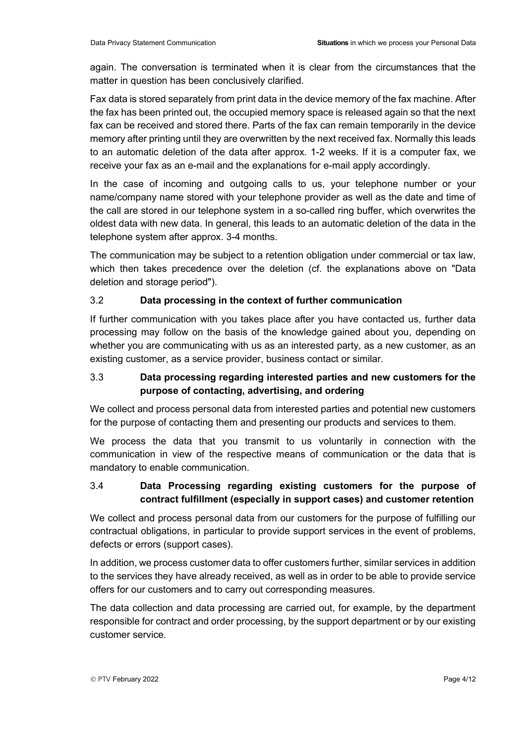again. The conversation is terminated when it is clear from the circumstances that the matter in question has been conclusively clarified.

Fax data is stored separately from print data in the device memory of the fax machine. After the fax has been printed out, the occupied memory space is released again so that the next fax can be received and stored there. Parts of the fax can remain temporarily in the device memory after printing until they are overwritten by the next received fax. Normally this leads to an automatic deletion of the data after approx. 1-2 weeks. If it is a computer fax, we receive your fax as an e-mail and the explanations for e-mail apply accordingly.

In the case of incoming and outgoing calls to us, your telephone number or your name/company name stored with your telephone provider as well as the date and time of the call are stored in our telephone system in a so-called ring buffer, which overwrites the oldest data with new data. In general, this leads to an automatic deletion of the data in the telephone system after approx. 3-4 months.

The communication may be subject to a retention obligation under commercial or tax law, which then takes precedence over the deletion (cf. the explanations above on "Data deletion and storage period").

#### 3.2 **Data processing in the context of further communication**

If further communication with you takes place after you have contacted us, further data processing may follow on the basis of the knowledge gained about you, depending on whether you are communicating with us as an interested party, as a new customer, as an existing customer, as a service provider, business contact or similar.

#### 3.3 **Data processing regarding interested parties and new customers for the purpose of contacting, advertising, and ordering**

We collect and process personal data from interested parties and potential new customers for the purpose of contacting them and presenting our products and services to them.

We process the data that you transmit to us voluntarily in connection with the communication in view of the respective means of communication or the data that is mandatory to enable communication.

## 3.4 **Data Processing regarding existing customers for the purpose of contract fulfillment (especially in support cases) and customer retention**

We collect and process personal data from our customers for the purpose of fulfilling our contractual obligations, in particular to provide support services in the event of problems, defects or errors (support cases).

In addition, we process customer data to offer customers further, similar services in addition to the services they have already received, as well as in order to be able to provide service offers for our customers and to carry out corresponding measures.

The data collection and data processing are carried out, for example, by the department responsible for contract and order processing, by the support department or by our existing customer service.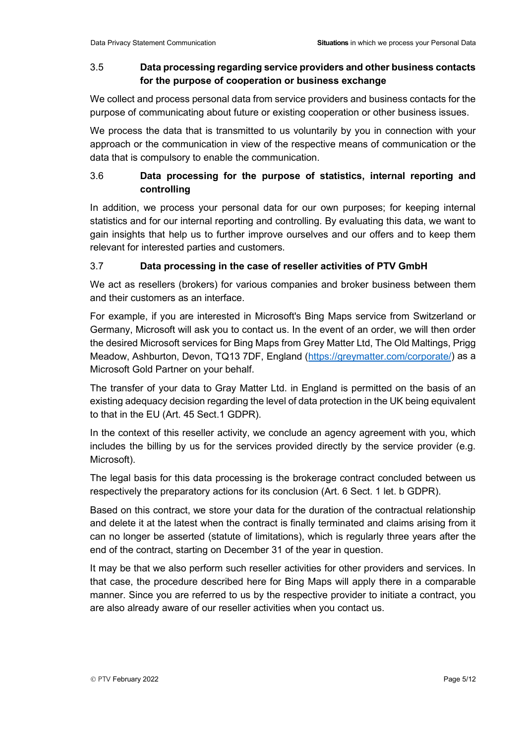#### 3.5 **Data processing regarding service providers and other business contacts for the purpose of cooperation or business exchange**

We collect and process personal data from service providers and business contacts for the purpose of communicating about future or existing cooperation or other business issues.

We process the data that is transmitted to us voluntarily by you in connection with your approach or the communication in view of the respective means of communication or the data that is compulsory to enable the communication.

## 3.6 **Data processing for the purpose of statistics, internal reporting and controlling**

In addition, we process your personal data for our own purposes; for keeping internal statistics and for our internal reporting and controlling. By evaluating this data, we want to gain insights that help us to further improve ourselves and our offers and to keep them relevant for interested parties and customers.

## 3.7 **Data processing in the case of reseller activities of PTV GmbH**

We act as resellers (brokers) for various companies and broker business between them and their customers as an interface.

For example, if you are interested in Microsoft's Bing Maps service from Switzerland or Germany, Microsoft will ask you to contact us. In the event of an order, we will then order the desired Microsoft services for Bing Maps from Grey Matter Ltd, The Old Maltings, Prigg Meadow, Ashburton, Devon, TQ13 7DF, England [\(https://greymatter.com/corporate/\)](https://greymatter.com/corporate/) as a Microsoft Gold Partner on your behalf.

The transfer of your data to Gray Matter Ltd. in England is permitted on the basis of an existing adequacy decision regarding the level of data protection in the UK being equivalent to that in the EU (Art. 45 Sect.1 GDPR).

In the context of this reseller activity, we conclude an agency agreement with you, which includes the billing by us for the services provided directly by the service provider (e.g. Microsoft).

The legal basis for this data processing is the brokerage contract concluded between us respectively the preparatory actions for its conclusion (Art. 6 Sect. 1 let. b GDPR).

Based on this contract, we store your data for the duration of the contractual relationship and delete it at the latest when the contract is finally terminated and claims arising from it can no longer be asserted (statute of limitations), which is regularly three years after the end of the contract, starting on December 31 of the year in question.

It may be that we also perform such reseller activities for other providers and services. In that case, the procedure described here for Bing Maps will apply there in a comparable manner. Since you are referred to us by the respective provider to initiate a contract, you are also already aware of our reseller activities when you contact us.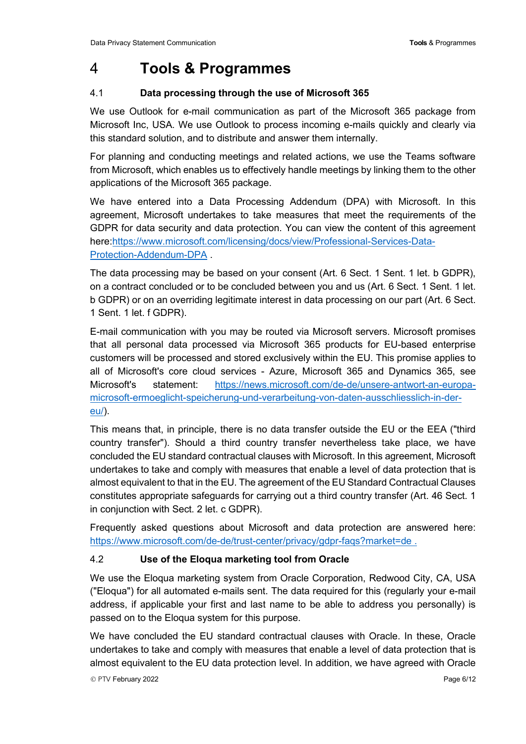## <span id="page-5-0"></span>4 **Tools & Programmes**

#### 4.1 **Data processing through the use of Microsoft 365**

We use Outlook for e-mail communication as part of the Microsoft 365 package from Microsoft Inc, USA. We use Outlook to process incoming e-mails quickly and clearly via this standard solution, and to distribute and answer them internally.

For planning and conducting meetings and related actions, we use the Teams software from Microsoft, which enables us to effectively handle meetings by linking them to the other applications of the Microsoft 365 package.

We have entered into a Data Processing Addendum (DPA) with Microsoft. In this agreement, Microsoft undertakes to take measures that meet the requirements of the GDPR for data security and data protection. You can view the content of this agreement here[:https://www.microsoft.com/licensing/docs/view/Professional-Services-Data-](https://www.microsoft.com/licensing/docs/view/Professional-Services-Data-Protection-Addendum-DPA)[Protection-Addendum-DPA](https://www.microsoft.com/licensing/docs/view/Professional-Services-Data-Protection-Addendum-DPA) .

The data processing may be based on your consent (Art. 6 Sect. 1 Sent. 1 let. b GDPR), on a contract concluded or to be concluded between you and us (Art. 6 Sect. 1 Sent. 1 let. b GDPR) or on an overriding legitimate interest in data processing on our part (Art. 6 Sect. 1 Sent. 1 let. f GDPR).

E-mail communication with you may be routed via Microsoft servers. Microsoft promises that all personal data processed via Microsoft 365 products for EU-based enterprise customers will be processed and stored exclusively within the EU. This promise applies to all of Microsoft's core cloud services - Azure, Microsoft 365 and Dynamics 365, see Microsoft's statement: [https://news.microsoft.com/de-de/unsere-antwort-an-europa](https://news.microsoft.com/de-de/unsere-antwort-an-europa-microsoft-ermoeglicht-speicherung-und-verarbeitung-von-daten-ausschliesslich-in-der-eu/)[microsoft-ermoeglicht-speicherung-und-verarbeitung-von-daten-ausschliesslich-in-der](https://news.microsoft.com/de-de/unsere-antwort-an-europa-microsoft-ermoeglicht-speicherung-und-verarbeitung-von-daten-ausschliesslich-in-der-eu/)[eu/\)](https://news.microsoft.com/de-de/unsere-antwort-an-europa-microsoft-ermoeglicht-speicherung-und-verarbeitung-von-daten-ausschliesslich-in-der-eu/).

This means that, in principle, there is no data transfer outside the EU or the EEA ("third country transfer"). Should a third country transfer nevertheless take place, we have concluded the EU standard contractual clauses with Microsoft. In this agreement, Microsoft undertakes to take and comply with measures that enable a level of data protection that is almost equivalent to that in the EU. The agreement of the EU Standard Contractual Clauses constitutes appropriate safeguards for carrying out a third country transfer (Art. 46 Sect. 1 in conjunction with Sect. 2 let. c GDPR).

Frequently asked questions about Microsoft and data protection are answered here: <https://www.microsoft.com/de-de/trust-center/privacy/gdpr-faqs?market=de> .

#### 4.2 **Use of the Eloqua marketing tool from Oracle**

We use the Eloqua marketing system from Oracle Corporation, Redwood City, CA, USA ("Eloqua") for all automated e-mails sent. The data required for this (regularly your e-mail address, if applicable your first and last name to be able to address you personally) is passed on to the Eloqua system for this purpose.

We have concluded the EU standard contractual clauses with Oracle. In these, Oracle undertakes to take and comply with measures that enable a level of data protection that is almost equivalent to the EU data protection level. In addition, we have agreed with Oracle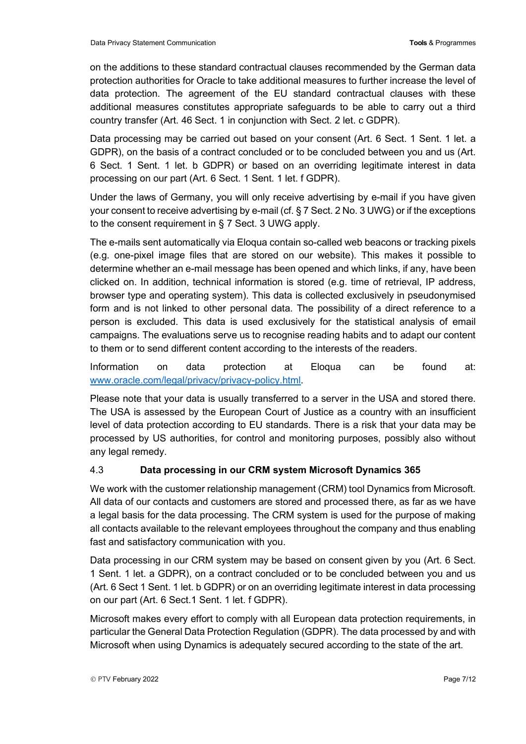on the additions to these standard contractual clauses recommended by the German data protection authorities for Oracle to take additional measures to further increase the level of data protection. The agreement of the EU standard contractual clauses with these additional measures constitutes appropriate safeguards to be able to carry out a third country transfer (Art. 46 Sect. 1 in conjunction with Sect. 2 let. c GDPR).

Data processing may be carried out based on your consent (Art. 6 Sect. 1 Sent. 1 let. a GDPR), on the basis of a contract concluded or to be concluded between you and us (Art. 6 Sect. 1 Sent. 1 let. b GDPR) or based on an overriding legitimate interest in data processing on our part (Art. 6 Sect. 1 Sent. 1 let. f GDPR).

Under the laws of Germany, you will only receive advertising by e-mail if you have given your consent to receive advertising by e-mail (cf. § 7 Sect. 2 No. 3 UWG) or if the exceptions to the consent requirement in § 7 Sect. 3 UWG apply.

The e-mails sent automatically via Eloqua contain so-called web beacons or tracking pixels (e.g. one-pixel image files that are stored on our website). This makes it possible to determine whether an e-mail message has been opened and which links, if any, have been clicked on. In addition, technical information is stored (e.g. time of retrieval, IP address, browser type and operating system). This data is collected exclusively in pseudonymised form and is not linked to other personal data. The possibility of a direct reference to a person is excluded. This data is used exclusively for the statistical analysis of email campaigns. The evaluations serve us to recognise reading habits and to adapt our content to them or to send different content according to the interests of the readers.

Information on data protection at Eloqua can be found at: [www.oracle.com/legal/privacy/privacy-policy.html.](http://www.oracle.com/legal/privacy/privacy-policy.html)

Please note that your data is usually transferred to a server in the USA and stored there. The USA is assessed by the European Court of Justice as a country with an insufficient level of data protection according to EU standards. There is a risk that your data may be processed by US authorities, for control and monitoring purposes, possibly also without any legal remedy.

#### 4.3 **Data processing in our CRM system Microsoft Dynamics 365**

We work with the customer relationship management (CRM) tool Dynamics from Microsoft. All data of our contacts and customers are stored and processed there, as far as we have a legal basis for the data processing. The CRM system is used for the purpose of making all contacts available to the relevant employees throughout the company and thus enabling fast and satisfactory communication with you.

Data processing in our CRM system may be based on consent given by you (Art. 6 Sect. 1 Sent. 1 let. a GDPR), on a contract concluded or to be concluded between you and us (Art. 6 Sect 1 Sent. 1 let. b GDPR) or on an overriding legitimate interest in data processing on our part (Art. 6 Sect.1 Sent. 1 let. f GDPR).

Microsoft makes every effort to comply with all European data protection requirements, in particular the General Data Protection Regulation (GDPR). The data processed by and with Microsoft when using Dynamics is adequately secured according to the state of the art.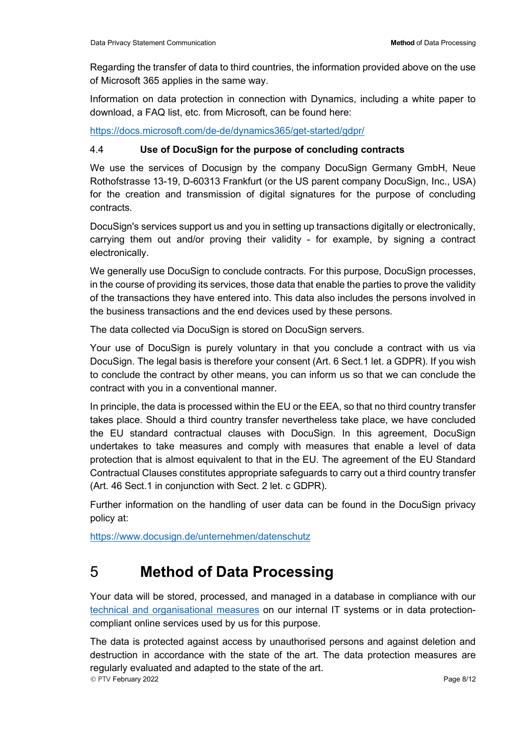Regarding the transfer of data to third countries, the information provided above on the use of Microsoft 365 applies in the same way.

Information on data protection in connection with Dynamics, including a white paper to download, a FAQ list, etc. from Microsoft, can be found here:

<https://docs.microsoft.com/de-de/dynamics365/get-started/gdpr/>

#### 4.4 **Use of DocuSign for the purpose of concluding contracts**

We use the services of Docusign by the company DocuSign Germany GmbH, Neue Rothofstrasse 13-19, D-60313 Frankfurt (or the US parent company DocuSign, Inc., USA) for the creation and transmission of digital signatures for the purpose of concluding contracts.

DocuSign's services support us and you in setting up transactions digitally or electronically, carrying them out and/or proving their validity - for example, by signing a contract electronically.

We generally use DocuSign to conclude contracts. For this purpose, DocuSign processes, in the course of providing its services, those data that enable the parties to prove the validity of the transactions they have entered into. This data also includes the persons involved in the business transactions and the end devices used by these persons.

The data collected via DocuSign is stored on DocuSign servers.

Your use of DocuSign is purely voluntary in that you conclude a contract with us via DocuSign. The legal basis is therefore your consent (Art. 6 Sect.1 let. a GDPR). If you wish to conclude the contract by other means, you can inform us so that we can conclude the contract with you in a conventional manner.

In principle, the data is processed within the EU or the EEA, so that no third country transfer takes place. Should a third country transfer nevertheless take place, we have concluded the EU standard contractual clauses with DocuSign. In this agreement, DocuSign undertakes to take measures and comply with measures that enable a level of data protection that is almost equivalent to that in the EU. The agreement of the EU Standard Contractual Clauses constitutes appropriate safeguards to carry out a third country transfer (Art. 46 Sect.1 in conjunction with Sect. 2 let. c GDPR).

Further information on the handling of user data can be found in the DocuSign privacy policy at:

<span id="page-7-0"></span><https://www.docusign.de/unternehmen/datenschutz>

## 5 **Method of Data Processing**

Your data will be stored, processed, and managed in a database in compliance with our [technical and organisational measures](https://www.ptvgroup.com/fileadmin/user_upload/Legal_Documents/Framework-Agreement/Annex6-Data_Privacy/Annex_6_3_General_Technical_and_Organisational_Measures/GDPR_TOMs_en.pdf) on our internal IT systems or in data protectioncompliant online services used by us for this purpose.

 PTV February 2022 Page 8/12 The data is protected against access by unauthorised persons and against deletion and destruction in accordance with the state of the art. The data protection measures are regularly evaluated and adapted to the state of the art.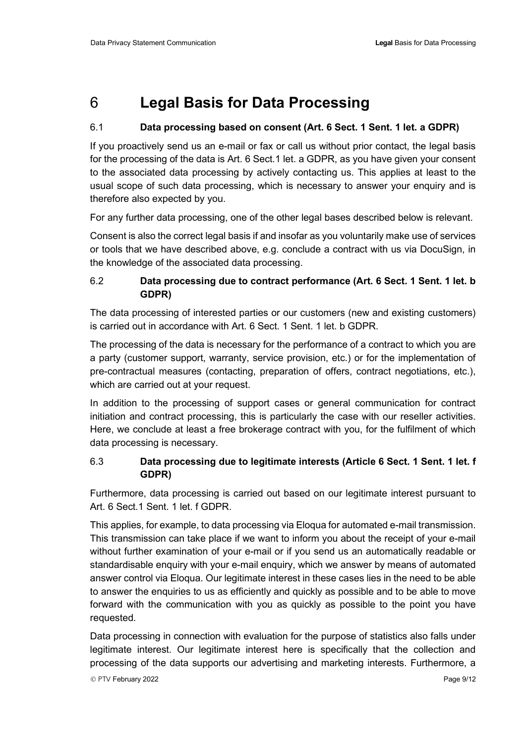# <span id="page-8-0"></span>6 **Legal Basis for Data Processing**

#### 6.1 **Data processing based on consent (Art. 6 Sect. 1 Sent. 1 let. a GDPR)**

If you proactively send us an e-mail or fax or call us without prior contact, the legal basis for the processing of the data is Art. 6 Sect.1 let. a GDPR, as you have given your consent to the associated data processing by actively contacting us. This applies at least to the usual scope of such data processing, which is necessary to answer your enquiry and is therefore also expected by you.

For any further data processing, one of the other legal bases described below is relevant.

Consent is also the correct legal basis if and insofar as you voluntarily make use of services or tools that we have described above, e.g. conclude a contract with us via DocuSign, in the knowledge of the associated data processing.

#### 6.2 **Data processing due to contract performance (Art. 6 Sect. 1 Sent. 1 let. b GDPR)**

The data processing of interested parties or our customers (new and existing customers) is carried out in accordance with Art. 6 Sect. 1 Sent. 1 let. b GDPR.

The processing of the data is necessary for the performance of a contract to which you are a party (customer support, warranty, service provision, etc.) or for the implementation of pre-contractual measures (contacting, preparation of offers, contract negotiations, etc.), which are carried out at your request.

In addition to the processing of support cases or general communication for contract initiation and contract processing, this is particularly the case with our reseller activities. Here, we conclude at least a free brokerage contract with you, for the fulfilment of which data processing is necessary.

## 6.3 **Data processing due to legitimate interests (Article 6 Sect. 1 Sent. 1 let. f GDPR)**

Furthermore, data processing is carried out based on our legitimate interest pursuant to Art. 6 Sect.1 Sent. 1 let. f GDPR.

This applies, for example, to data processing via Eloqua for automated e-mail transmission. This transmission can take place if we want to inform you about the receipt of your e-mail without further examination of your e-mail or if you send us an automatically readable or standardisable enquiry with your e-mail enquiry, which we answer by means of automated answer control via Eloqua. Our legitimate interest in these cases lies in the need to be able to answer the enquiries to us as efficiently and quickly as possible and to be able to move forward with the communication with you as quickly as possible to the point you have requested.

Data processing in connection with evaluation for the purpose of statistics also falls under legitimate interest. Our legitimate interest here is specifically that the collection and processing of the data supports our advertising and marketing interests. Furthermore, a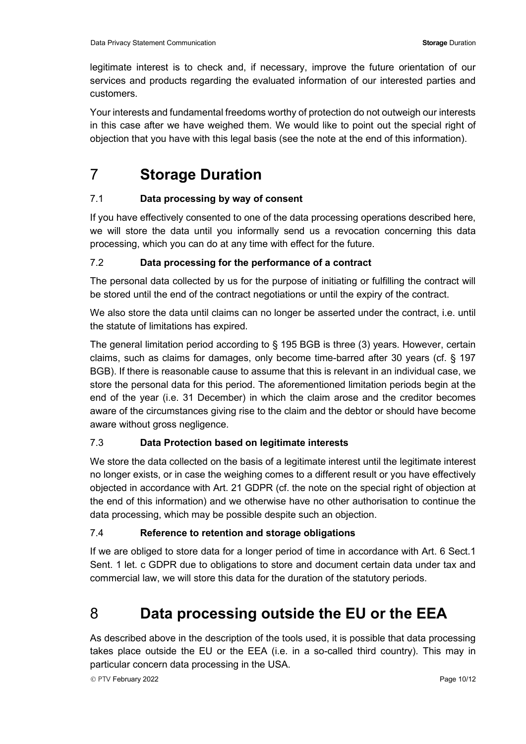legitimate interest is to check and, if necessary, improve the future orientation of our services and products regarding the evaluated information of our interested parties and customers.

Your interests and fundamental freedoms worthy of protection do not outweigh our interests in this case after we have weighed them. We would like to point out the special right of objection that you have with this legal basis (see the note at the end of this information).

# <span id="page-9-0"></span>7 **Storage Duration**

## 7.1 **Data processing by way of consent**

If you have effectively consented to one of the data processing operations described here, we will store the data until you informally send us a revocation concerning this data processing, which you can do at any time with effect for the future.

#### 7.2 **Data processing for the performance of a contract**

The personal data collected by us for the purpose of initiating or fulfilling the contract will be stored until the end of the contract negotiations or until the expiry of the contract.

We also store the data until claims can no longer be asserted under the contract, i.e. until the statute of limitations has expired.

The general limitation period according to § 195 BGB is three (3) years. However, certain claims, such as claims for damages, only become time-barred after 30 years (cf. § 197 BGB). If there is reasonable cause to assume that this is relevant in an individual case, we store the personal data for this period. The aforementioned limitation periods begin at the end of the year (i.e. 31 December) in which the claim arose and the creditor becomes aware of the circumstances giving rise to the claim and the debtor or should have become aware without gross negligence.

## 7.3 **Data Protection based on legitimate interests**

We store the data collected on the basis of a legitimate interest until the legitimate interest no longer exists, or in case the weighing comes to a different result or you have effectively objected in accordance with Art. 21 GDPR (cf. the note on the special right of objection at the end of this information) and we otherwise have no other authorisation to continue the data processing, which may be possible despite such an objection.

## 7.4 **Reference to retention and storage obligations**

If we are obliged to store data for a longer period of time in accordance with Art. 6 Sect.1 Sent. 1 let. c GDPR due to obligations to store and document certain data under tax and commercial law, we will store this data for the duration of the statutory periods.

# <span id="page-9-1"></span>8 **Data processing outside the EU or the EEA**

As described above in the description of the tools used, it is possible that data processing takes place outside the EU or the EEA (i.e. in a so-called third country). This may in particular concern data processing in the USA.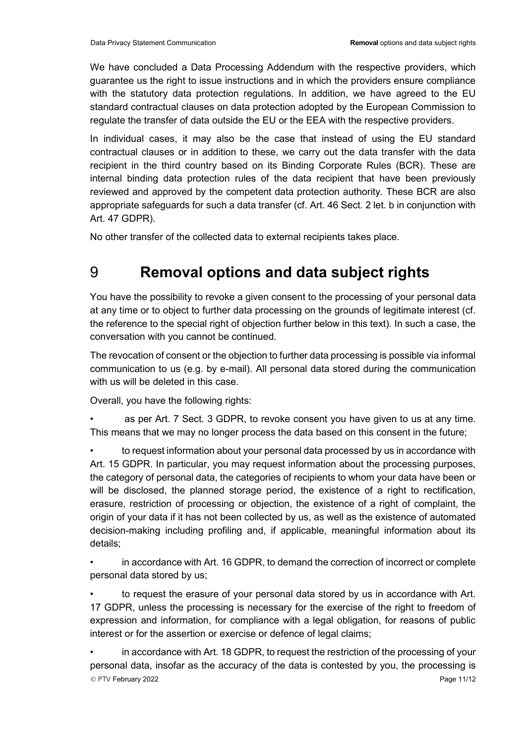We have concluded a Data Processing Addendum with the respective providers, which guarantee us the right to issue instructions and in which the providers ensure compliance with the statutory data protection regulations. In addition, we have agreed to the EU standard contractual clauses on data protection adopted by the European Commission to regulate the transfer of data outside the EU or the EEA with the respective providers.

In individual cases, it may also be the case that instead of using the EU standard contractual clauses or in addition to these, we carry out the data transfer with the data recipient in the third country based on its Binding Corporate Rules (BCR). These are internal binding data protection rules of the data recipient that have been previously reviewed and approved by the competent data protection authority. These BCR are also appropriate safeguards for such a data transfer (cf. Art. 46 Sect. 2 let. b in conjunction with Art. 47 GDPR).

<span id="page-10-0"></span>No other transfer of the collected data to external recipients takes place.

# 9 **Removal options and data subject rights**

You have the possibility to revoke a given consent to the processing of your personal data at any time or to object to further data processing on the grounds of legitimate interest (cf. the reference to the special right of objection further below in this text). In such a case, the conversation with you cannot be continued.

The revocation of consent or the objection to further data processing is possible via informal communication to us (e.g. by e-mail). All personal data stored during the communication with us will be deleted in this case.

Overall, you have the following rights:

• as per Art. 7 Sect. 3 GDPR, to revoke consent you have given to us at any time. This means that we may no longer process the data based on this consent in the future;

• to request information about your personal data processed by us in accordance with Art. 15 GDPR. In particular, you may request information about the processing purposes, the category of personal data, the categories of recipients to whom your data have been or will be disclosed, the planned storage period, the existence of a right to rectification, erasure, restriction of processing or objection, the existence of a right of complaint, the origin of your data if it has not been collected by us, as well as the existence of automated decision-making including profiling and, if applicable, meaningful information about its details;

• in accordance with Art. 16 GDPR, to demand the correction of incorrect or complete personal data stored by us;

• to request the erasure of your personal data stored by us in accordance with Art. 17 GDPR, unless the processing is necessary for the exercise of the right to freedom of expression and information, for compliance with a legal obligation, for reasons of public interest or for the assertion or exercise or defence of legal claims;

 $\circledcirc$  PTV February 2022  $\circledcirc$ • in accordance with Art. 18 GDPR, to request the restriction of the processing of your personal data, insofar as the accuracy of the data is contested by you, the processing is